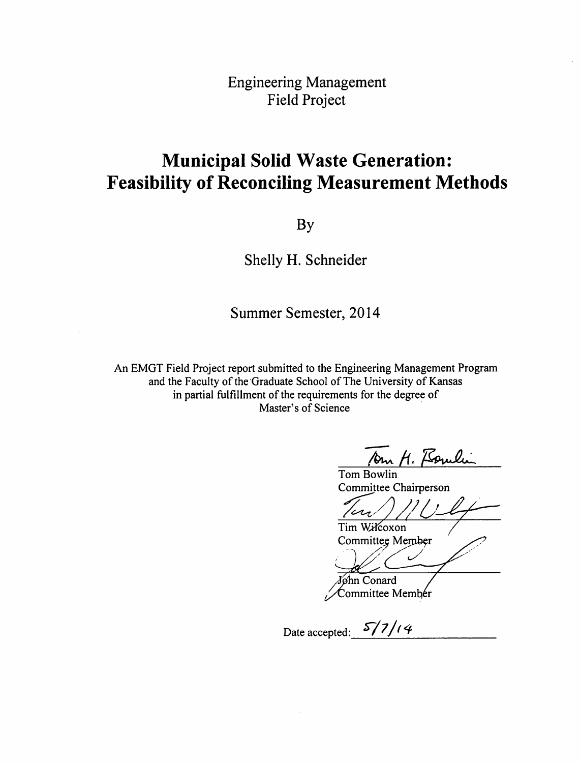**Engineering Management Field Project** 

## **Municipal Solid Waste Generation: Feasibility of Reconciling Measurement Methods**

**By** 

Shelly H. Schneider

Summer Semester, 2014

An EMGT Field Project report submitted to the Engineering Management Program and the Faculty of the Graduate School of The University of Kansas in partial fulfillment of the requirements for the degree of Master's of Science

Drn H. Boulin

Tom Bowlin Committee Chairperson

Tim Wilcoxon Committee Member

Mohn Conard

Committee Member

Date accepted:  $\frac{5}{7}/\frac{1}{4}$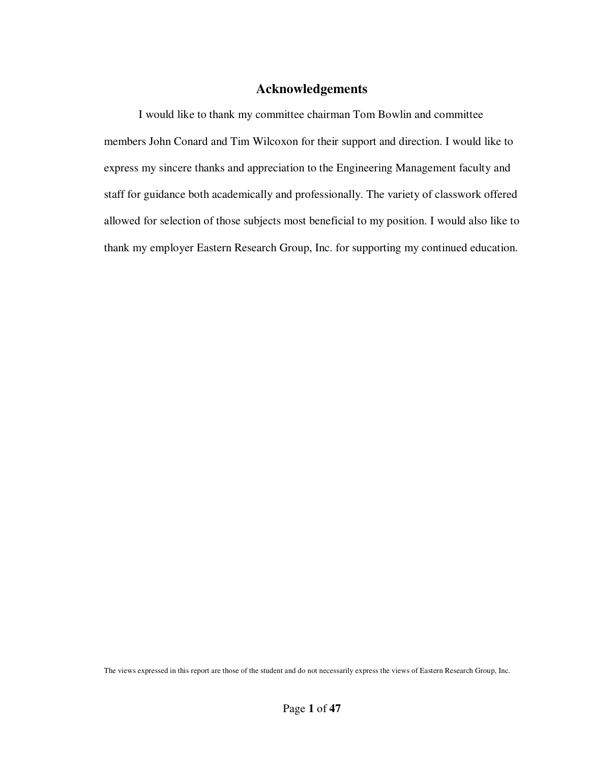## **Acknowledgements**

I would like to thank my committee chairman Tom Bowlin and committee members John Conard and Tim Wilcoxon for their support and direction. I would like to express my sincere thanks and appreciation to the Engineering Management faculty and staff for guidance both academically and professionally. The variety of classwork offered allowed for selection of those subjects most beneficial to my position. I would also like to thank my employer Eastern Research Group, Inc. for supporting my continued education.

The views expressed in this report are those of the student and do not necessarily express the views of Eastern Research Group, Inc.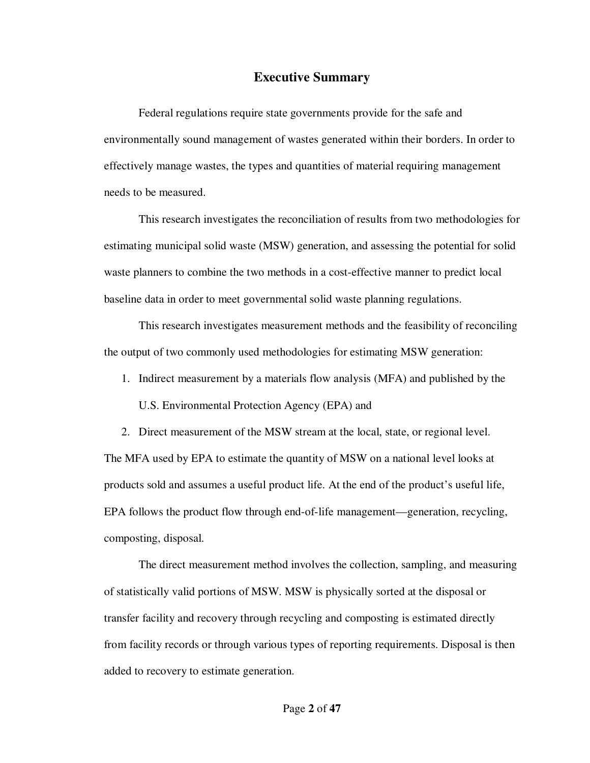## **Executive Summary**

Federal regulations require state governments provide for the safe and environmentally sound management of wastes generated within their borders. In order to effectively manage wastes, the types and quantities of material requiring management needs to be measured.

This research investigates the reconciliation of results from two methodologies for estimating municipal solid waste (MSW) generation, and assessing the potential for solid waste planners to combine the two methods in a cost-effective manner to predict local baseline data in order to meet governmental solid waste planning regulations.

This research investigates measurement methods and the feasibility of reconciling the output of two commonly used methodologies for estimating MSW generation:

1. Indirect measurement by a materials flow analysis (MFA) and published by the

U.S. Environmental Protection Agency (EPA) and

2. Direct measurement of the MSW stream at the local, state, or regional level.

The MFA used by EPA to estimate the quantity of MSW on a national level looks at products sold and assumes a useful product life. At the end of the product's useful life, EPA follows the product flow through end-of-life management—generation, recycling, composting, disposal.

The direct measurement method involves the collection, sampling, and measuring of statistically valid portions of MSW. MSW is physically sorted at the disposal or transfer facility and recovery through recycling and composting is estimated directly from facility records or through various types of reporting requirements. Disposal is then added to recovery to estimate generation.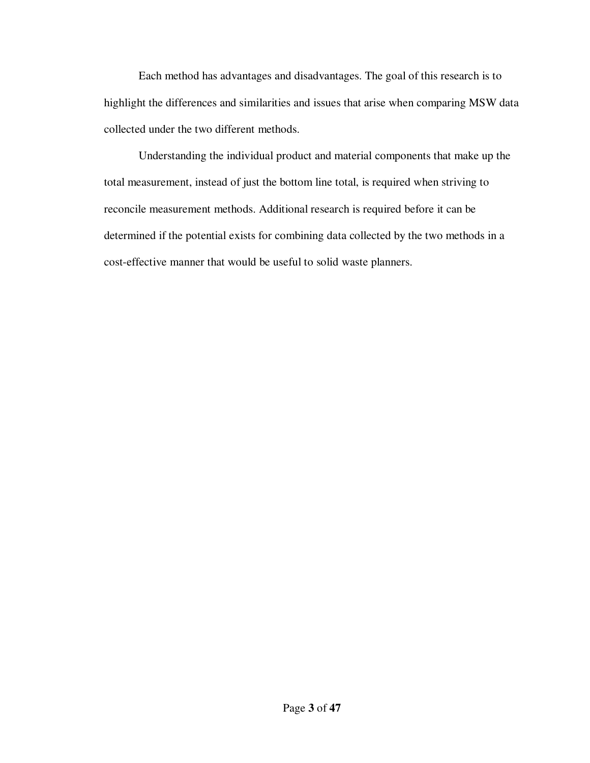Each method has advantages and disadvantages. The goal of this research is to highlight the differences and similarities and issues that arise when comparing MSW data collected under the two different methods.

Understanding the individual product and material components that make up the total measurement, instead of just the bottom line total, is required when striving to reconcile measurement methods. Additional research is required before it can be determined if the potential exists for combining data collected by the two methods in a cost-effective manner that would be useful to solid waste planners.